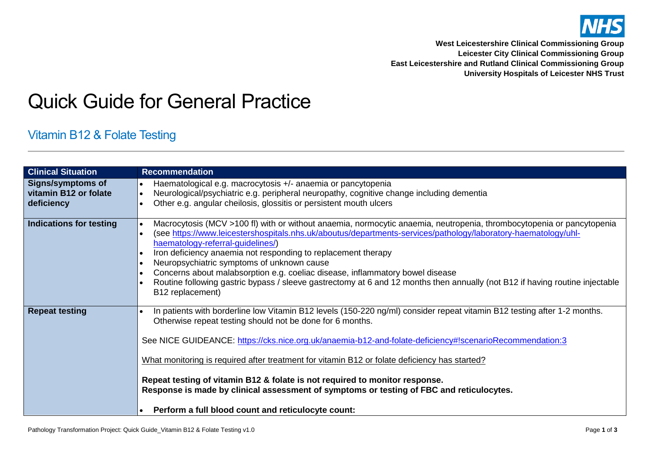

**West Leicestershire Clinical Commissioning Group Leicester City Clinical Commissioning Group East Leicestershire and Rutland Clinical Commissioning Group University Hospitals of Leicester NHS Trust**

## Quick Guide for General Practice

## Vitamin B12 & Folate Testing

| <b>Clinical Situation</b>                                       | <b>Recommendation</b>                                                                                                                                                                                                                                                                                                                                                                                                                                                                                                                                                                                                              |
|-----------------------------------------------------------------|------------------------------------------------------------------------------------------------------------------------------------------------------------------------------------------------------------------------------------------------------------------------------------------------------------------------------------------------------------------------------------------------------------------------------------------------------------------------------------------------------------------------------------------------------------------------------------------------------------------------------------|
| <b>Signs/symptoms of</b><br>vitamin B12 or folate<br>deficiency | Haematological e.g. macrocytosis +/- anaemia or pancytopenia<br>Neurological/psychiatric e.g. peripheral neuropathy, cognitive change including dementia<br>Other e.g. angular cheilosis, glossitis or persistent mouth ulcers                                                                                                                                                                                                                                                                                                                                                                                                     |
| Indications for testing                                         | Macrocytosis (MCV >100 fl) with or without anaemia, normocytic anaemia, neutropenia, thrombocytopenia or pancytopenia<br>(see https://www.leicestershospitals.nhs.uk/aboutus/departments-services/pathology/laboratory-haematology/uhl-<br>haematology-referral-guidelines/)<br>Iron deficiency anaemia not responding to replacement therapy<br>Neuropsychiatric symptoms of unknown cause<br>Concerns about malabsorption e.g. coeliac disease, inflammatory bowel disease<br>Routine following gastric bypass / sleeve gastrectomy at 6 and 12 months then annually (not B12 if having routine injectable<br>B12 replacement)   |
| <b>Repeat testing</b>                                           | In patients with borderline low Vitamin B12 levels (150-220 ng/ml) consider repeat vitamin B12 testing after 1-2 months.<br>Otherwise repeat testing should not be done for 6 months.<br>See NICE GUIDEANCE: https://cks.nice.org.uk/anaemia-b12-and-folate-deficiency#!scenarioRecommendation:3<br>What monitoring is required after treatment for vitamin B12 or folate deficiency has started?<br>Repeat testing of vitamin B12 & folate is not required to monitor response.<br>Response is made by clinical assessment of symptoms or testing of FBC and reticulocytes.<br>Perform a full blood count and reticulocyte count: |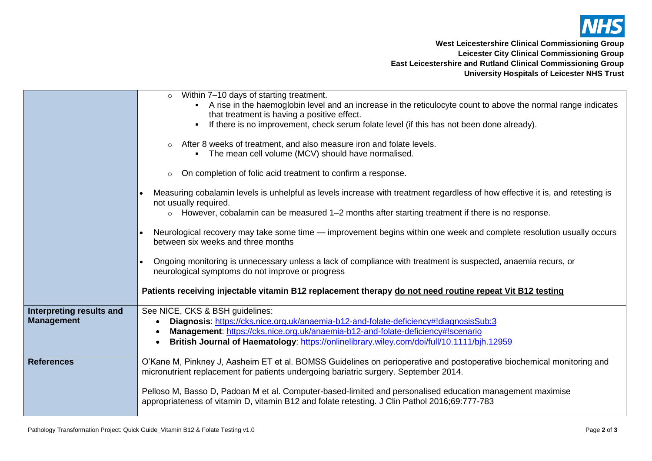

**West Leicestershire Clinical Commissioning Group Leicester City Clinical Commissioning Group East Leicestershire and Rutland Clinical Commissioning Group University Hospitals of Leicester NHS Trust**

|                          | Within 7-10 days of starting treatment.<br>$\circ$<br>A rise in the haemoglobin level and an increase in the reticulocyte count to above the normal range indicates<br>$\blacksquare$<br>that treatment is having a positive effect. |  |  |  |  |  |
|--------------------------|--------------------------------------------------------------------------------------------------------------------------------------------------------------------------------------------------------------------------------------|--|--|--|--|--|
|                          | If there is no improvement, check serum folate level (if this has not been done already).                                                                                                                                            |  |  |  |  |  |
|                          | After 8 weeks of treatment, and also measure iron and folate levels.<br>$\circ$<br>• The mean cell volume (MCV) should have normalised.                                                                                              |  |  |  |  |  |
|                          | On completion of folic acid treatment to confirm a response.<br>$\circ$                                                                                                                                                              |  |  |  |  |  |
|                          | Measuring cobalamin levels is unhelpful as levels increase with treatment regardless of how effective it is, and retesting is<br>not usually required.                                                                               |  |  |  |  |  |
|                          | $\circ$ However, cobalamin can be measured 1-2 months after starting treatment if there is no response.                                                                                                                              |  |  |  |  |  |
|                          | Neurological recovery may take some time — improvement begins within one week and complete resolution usually occurs<br>between six weeks and three months                                                                           |  |  |  |  |  |
|                          | Ongoing monitoring is unnecessary unless a lack of compliance with treatment is suspected, anaemia recurs, or<br>neurological symptoms do not improve or progress                                                                    |  |  |  |  |  |
|                          | Patients receiving injectable vitamin B12 replacement therapy do not need routine repeat Vit B12 testing                                                                                                                             |  |  |  |  |  |
| Interpreting results and | See NICE, CKS & BSH guidelines:                                                                                                                                                                                                      |  |  |  |  |  |
| <b>Management</b>        | Diagnosis: https://cks.nice.org.uk/anaemia-b12-and-folate-deficiency#!diagnosisSub:3<br>Management: https://cks.nice.org.uk/anaemia-b12-and-folate-deficiency#!scenario                                                              |  |  |  |  |  |
|                          | British Journal of Haematology: https://onlinelibrary.wiley.com/doi/full/10.1111/bjh.12959                                                                                                                                           |  |  |  |  |  |
| <b>References</b>        | O'Kane M, Pinkney J, Aasheim ET et al. BOMSS Guidelines on perioperative and postoperative biochemical monitoring and<br>micronutrient replacement for patients undergoing bariatric surgery. September 2014.                        |  |  |  |  |  |
|                          | Pelloso M, Basso D, Padoan M et al. Computer-based-limited and personalised education management maximise<br>appropriateness of vitamin D, vitamin B12 and folate retesting. J Clin Pathol 2016;69:777-783                           |  |  |  |  |  |